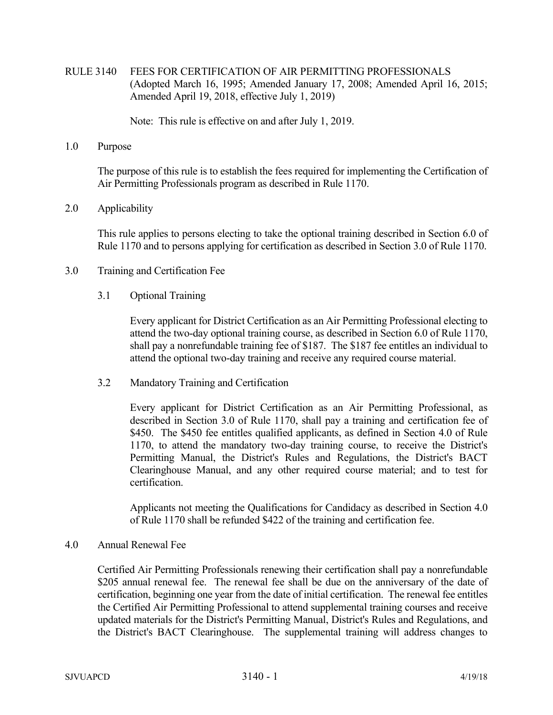RULE 3140 FEES FOR CERTIFICATION OF AIR PERMITTING PROFESSIONALS (Adopted March 16, 1995; Amended January 17, 2008; Amended April 16, 2015; Amended April 19, 2018, effective July 1, 2019)

Note: This rule is effective on and after July 1, 2019.

1.0 Purpose

 The purpose of this rule is to establish the fees required for implementing the Certification of Air Permitting Professionals program as described in Rule 1170.

## 2.0 Applicability

 This rule applies to persons electing to take the optional training described in Section 6.0 of Rule 1170 and to persons applying for certification as described in Section 3.0 of Rule 1170.

- 3.0 Training and Certification Fee
	- 3.1 Optional Training

 Every applicant for District Certification as an Air Permitting Professional electing to attend the two-day optional training course, as described in Section 6.0 of Rule 1170, shall pay a nonrefundable training fee of \$187. The \$187 fee entitles an individual to attend the optional two-day training and receive any required course material.

3.2 Mandatory Training and Certification

 Every applicant for District Certification as an Air Permitting Professional, as described in Section 3.0 of Rule 1170, shall pay a training and certification fee of \$450. The \$450 fee entitles qualified applicants, as defined in Section 4.0 of Rule 1170, to attend the mandatory two-day training course, to receive the District's Permitting Manual, the District's Rules and Regulations, the District's BACT Clearinghouse Manual, and any other required course material; and to test for certification.

 Applicants not meeting the Qualifications for Candidacy as described in Section 4.0 of Rule 1170 shall be refunded \$422 of the training and certification fee.

## 4.0 Annual Renewal Fee

 Certified Air Permitting Professionals renewing their certification shall pay a nonrefundable \$205 annual renewal fee. The renewal fee shall be due on the anniversary of the date of certification, beginning one year from the date of initial certification. The renewal fee entitles the Certified Air Permitting Professional to attend supplemental training courses and receive updated materials for the District's Permitting Manual, District's Rules and Regulations, and the District's BACT Clearinghouse. The supplemental training will address changes to